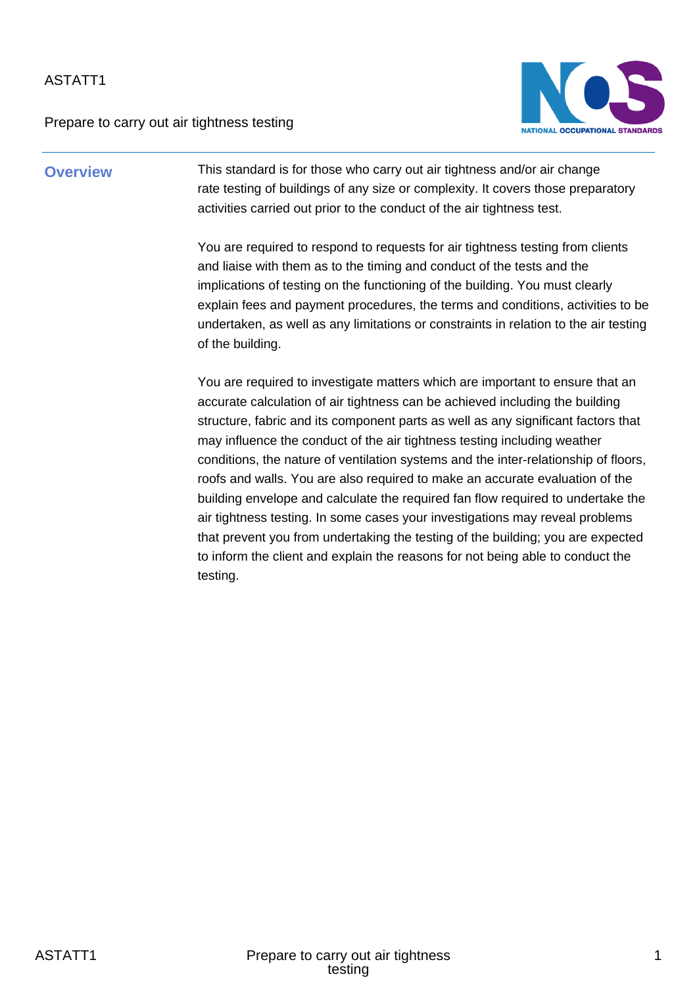Prepare to carry out air tightness testing



**Overview** This standard is for those who carry out air tightness and/or air change rate testing of buildings of any size or complexity. It covers those preparatory activities carried out prior to the conduct of the air tightness test.

> You are required to respond to requests for air tightness testing from clients and liaise with them as to the timing and conduct of the tests and the implications of testing on the functioning of the building. You must clearly explain fees and payment procedures, the terms and conditions, activities to be undertaken, as well as any limitations or constraints in relation to the air testing of the building.

> You are required to investigate matters which are important to ensure that an accurate calculation of air tightness can be achieved including the building structure, fabric and its component parts as well as any significant factors that may influence the conduct of the air tightness testing including weather conditions, the nature of ventilation systems and the inter-relationship of floors, roofs and walls. You are also required to make an accurate evaluation of the building envelope and calculate the required fan flow required to undertake the air tightness testing. In some cases your investigations may reveal problems that prevent you from undertaking the testing of the building; you are expected to inform the client and explain the reasons for not being able to conduct the testing.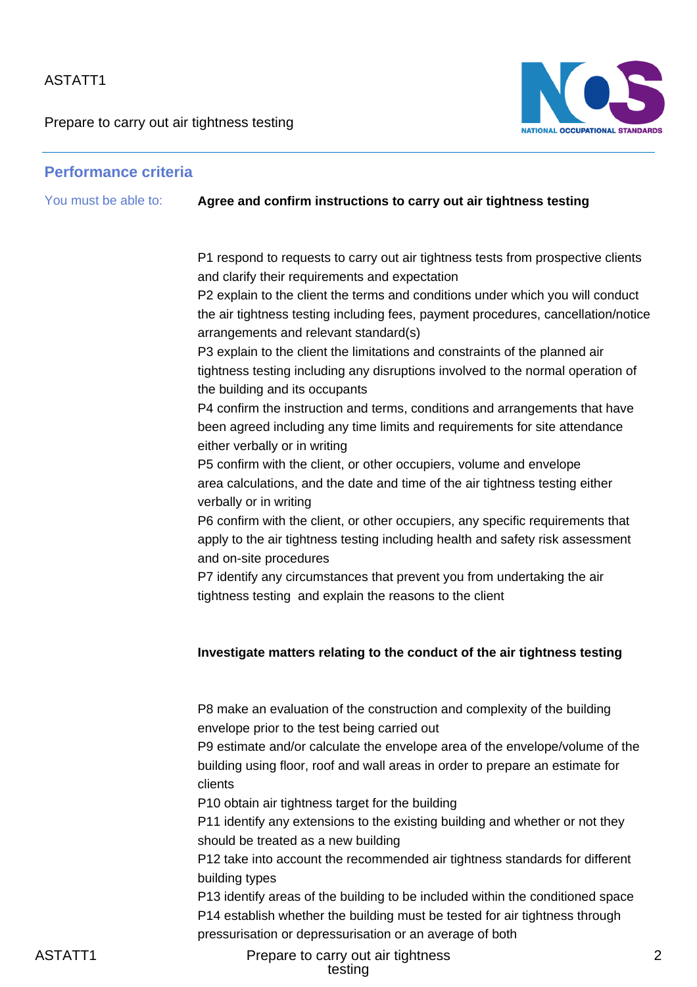Prepare to carry out air tightness testing



# **Performance criteria**

| You must be able to: | Agree and confirm instructions to carry out air tightness testing                                                                                                        |
|----------------------|--------------------------------------------------------------------------------------------------------------------------------------------------------------------------|
|                      | P1 respond to requests to carry out air tightness tests from prospective clients                                                                                         |
|                      | and clarify their requirements and expectation                                                                                                                           |
|                      | P2 explain to the client the terms and conditions under which you will conduct                                                                                           |
|                      | the air tightness testing including fees, payment procedures, cancellation/notice<br>arrangements and relevant standard(s)                                               |
|                      | P3 explain to the client the limitations and constraints of the planned air                                                                                              |
|                      | tightness testing including any disruptions involved to the normal operation of<br>the building and its occupants                                                        |
|                      | P4 confirm the instruction and terms, conditions and arrangements that have                                                                                              |
|                      | been agreed including any time limits and requirements for site attendance<br>either verbally or in writing                                                              |
|                      | P5 confirm with the client, or other occupiers, volume and envelope                                                                                                      |
|                      | area calculations, and the date and time of the air tightness testing either<br>verbally or in writing                                                                   |
|                      | P6 confirm with the client, or other occupiers, any specific requirements that                                                                                           |
|                      | apply to the air tightness testing including health and safety risk assessment<br>and on-site procedures                                                                 |
|                      | P7 identify any circumstances that prevent you from undertaking the air                                                                                                  |
|                      | tightness testing and explain the reasons to the client                                                                                                                  |
|                      | Investigate matters relating to the conduct of the air tightness testing                                                                                                 |
|                      | P8 make an evaluation of the construction and complexity of the building                                                                                                 |
|                      | envelope prior to the test being carried out                                                                                                                             |
|                      | P9 estimate and/or calculate the envelope area of the envelope/volume of the<br>building using floor, roof and wall areas in order to prepare an estimate for<br>clients |
|                      | P10 obtain air tightness target for the building                                                                                                                         |
|                      | P11 identify any extensions to the existing building and whether or not they<br>should be treated as a new building                                                      |
|                      | P12 take into account the recommended air tightness standards for different<br>building types                                                                            |
|                      | P13 identify areas of the building to be included within the conditioned space<br>P14 establish whether the building must be tested for air tightness through            |

pressurisation or depressurisation or an average of both

ASTATT1 **Prepare to carry out air tightness** testing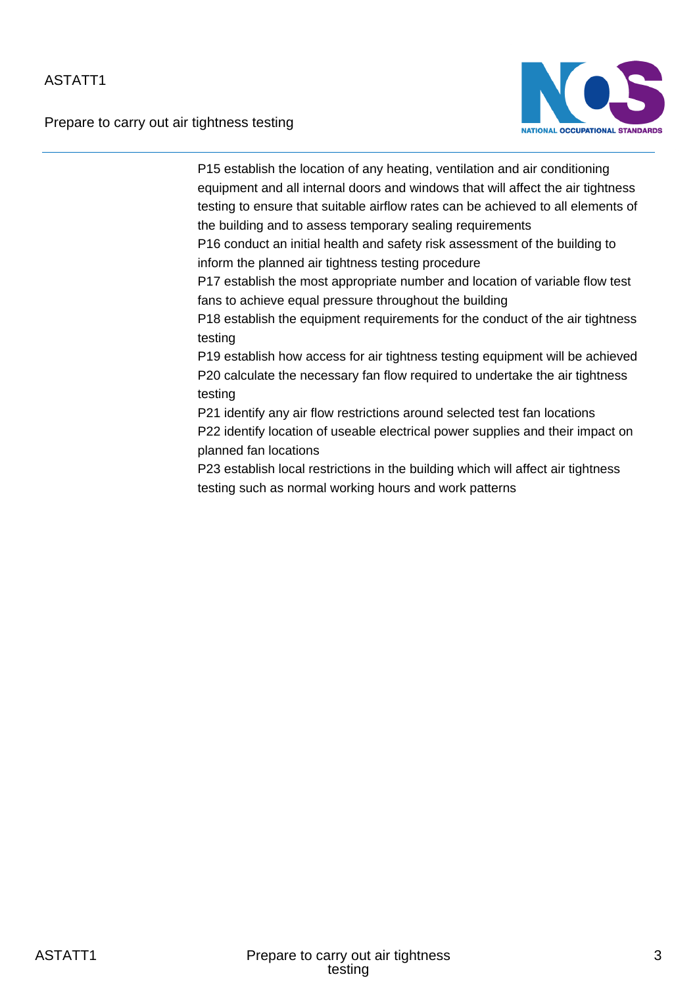Prepare to carry out air tightness testing



P15 establish the location of any heating, ventilation and air conditioning equipment and all internal doors and windows that will affect the air tightness testing to ensure that suitable airflow rates can be achieved to all elements of the building and to assess temporary sealing requirements

P16 conduct an initial health and safety risk assessment of the building to inform the planned air tightness testing procedure

P17 establish the most appropriate number and location of variable flow test fans to achieve equal pressure throughout the building

P18 establish the equipment requirements for the conduct of the air tightness testing

P19 establish how access for air tightness testing equipment will be achieved P20 calculate the necessary fan flow required to undertake the air tightness testing

P21 identify any air flow restrictions around selected test fan locations P22 identify location of useable electrical power supplies and their impact on planned fan locations

P23 establish local restrictions in the building which will affect air tightness testing such as normal working hours and work patterns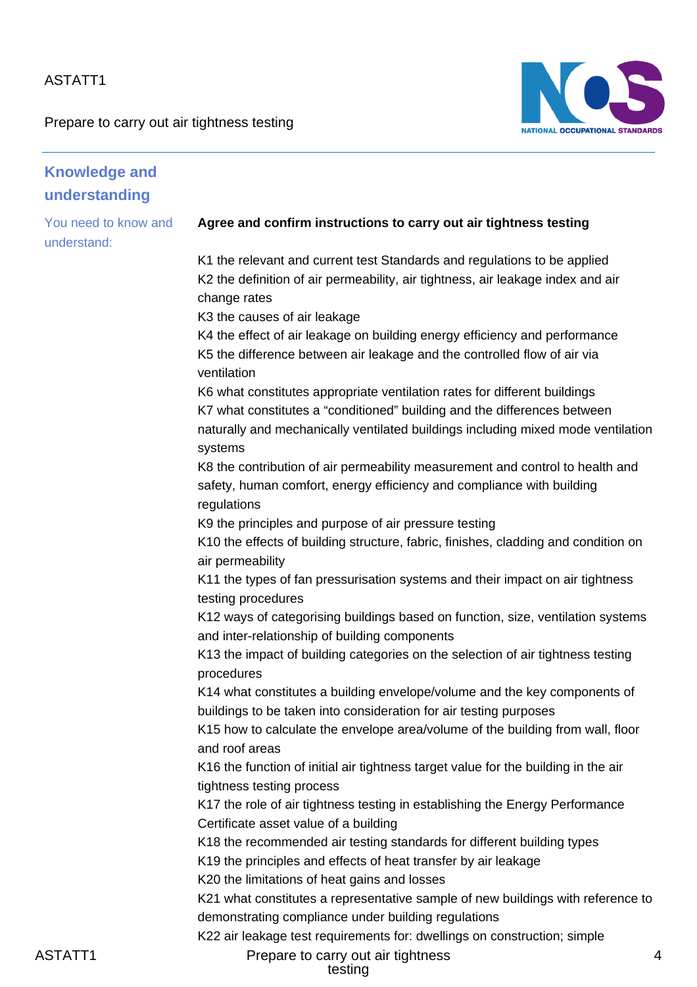Prepare to carry out air tightness testing



| <b>Knowledge and</b><br>understanding |                                                                                                                                                                                                                                           |
|---------------------------------------|-------------------------------------------------------------------------------------------------------------------------------------------------------------------------------------------------------------------------------------------|
| You need to know and                  | Agree and confirm instructions to carry out air tightness testing                                                                                                                                                                         |
| understand:                           | K1 the relevant and current test Standards and regulations to be applied                                                                                                                                                                  |
|                                       | K2 the definition of air permeability, air tightness, air leakage index and air<br>change rates                                                                                                                                           |
|                                       | K3 the causes of air leakage                                                                                                                                                                                                              |
|                                       | K4 the effect of air leakage on building energy efficiency and performance<br>K5 the difference between air leakage and the controlled flow of air via                                                                                    |
|                                       | ventilation                                                                                                                                                                                                                               |
|                                       | K6 what constitutes appropriate ventilation rates for different buildings<br>K7 what constitutes a "conditioned" building and the differences between<br>naturally and mechanically ventilated buildings including mixed mode ventilation |
|                                       | systems                                                                                                                                                                                                                                   |
|                                       | K8 the contribution of air permeability measurement and control to health and<br>safety, human comfort, energy efficiency and compliance with building<br>regulations                                                                     |
|                                       | K9 the principles and purpose of air pressure testing                                                                                                                                                                                     |
|                                       | K10 the effects of building structure, fabric, finishes, cladding and condition on<br>air permeability                                                                                                                                    |
|                                       | K11 the types of fan pressurisation systems and their impact on air tightness<br>testing procedures                                                                                                                                       |
|                                       | K12 ways of categorising buildings based on function, size, ventilation systems<br>and inter-relationship of building components                                                                                                          |
|                                       | K13 the impact of building categories on the selection of air tightness testing<br>procedures                                                                                                                                             |
|                                       | K14 what constitutes a building envelope/volume and the key components of<br>buildings to be taken into consideration for air testing purposes                                                                                            |
|                                       | K15 how to calculate the envelope area/volume of the building from wall, floor<br>and roof areas                                                                                                                                          |
|                                       | K16 the function of initial air tightness target value for the building in the air<br>tightness testing process                                                                                                                           |
|                                       | K17 the role of air tightness testing in establishing the Energy Performance<br>Certificate asset value of a building                                                                                                                     |
|                                       | K18 the recommended air testing standards for different building types                                                                                                                                                                    |
|                                       | K19 the principles and effects of heat transfer by air leakage                                                                                                                                                                            |
|                                       | K20 the limitations of heat gains and losses                                                                                                                                                                                              |
|                                       | K21 what constitutes a representative sample of new buildings with reference to                                                                                                                                                           |
|                                       | demonstrating compliance under building regulations                                                                                                                                                                                       |
|                                       | K22 air leakage test requirements for: dwellings on construction; simple                                                                                                                                                                  |
| ASTATT1                               | Prepare to carry out air tightness                                                                                                                                                                                                        |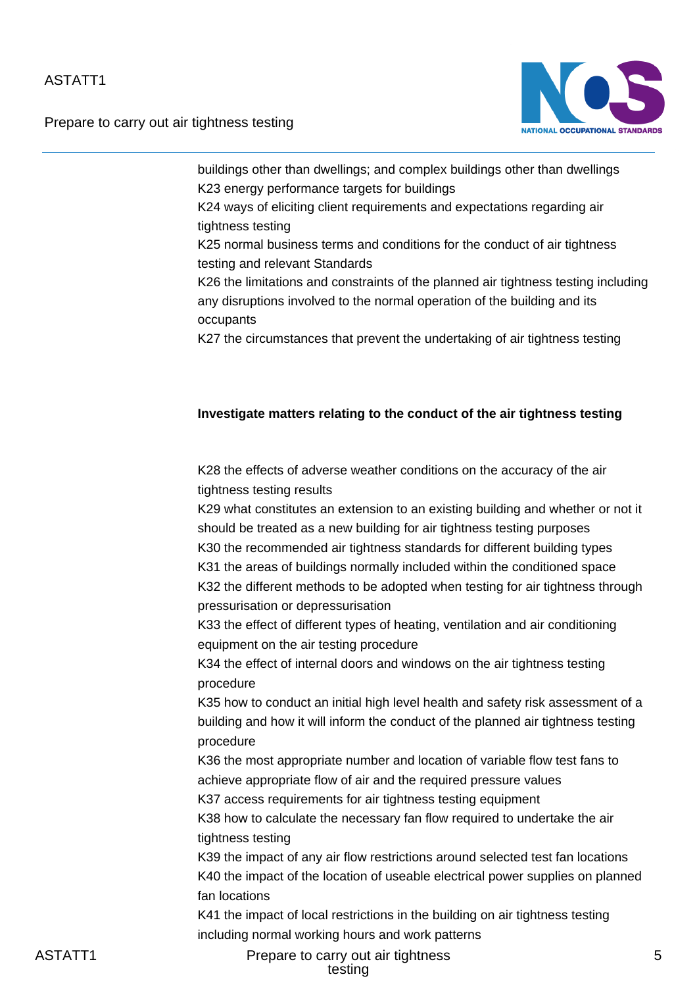

Prepare to carry out air tightness testing

buildings other than dwellings; and complex buildings other than dwellings K23 energy performance targets for buildings

K24 ways of eliciting client requirements and expectations regarding air tightness testing

K25 normal business terms and conditions for the conduct of air tightness testing and relevant Standards

K26 the limitations and constraints of the planned air tightness testing including any disruptions involved to the normal operation of the building and its occupants

K27 the circumstances that prevent the undertaking of air tightness testing

#### **Investigate matters relating to the conduct of the air tightness testing**

K28 the effects of adverse weather conditions on the accuracy of the air tightness testing results

K29 what constitutes an extension to an existing building and whether or not it should be treated as a new building for air tightness testing purposes K30 the recommended air tightness standards for different building types K31 the areas of buildings normally included within the conditioned space K32 the different methods to be adopted when testing for air tightness through pressurisation or depressurisation

K33 the effect of different types of heating, ventilation and air conditioning equipment on the air testing procedure

K34 the effect of internal doors and windows on the air tightness testing procedure

K35 how to conduct an initial high level health and safety risk assessment of a building and how it will inform the conduct of the planned air tightness testing procedure

K36 the most appropriate number and location of variable flow test fans to achieve appropriate flow of air and the required pressure values K37 access requirements for air tightness testing equipment

K38 how to calculate the necessary fan flow required to undertake the air tightness testing

K39 the impact of any air flow restrictions around selected test fan locations K40 the impact of the location of useable electrical power supplies on planned fan locations

K41 the impact of local restrictions in the building on air tightness testing including normal working hours and work patterns

ASTATT1 Prepare to carry out air tightness testing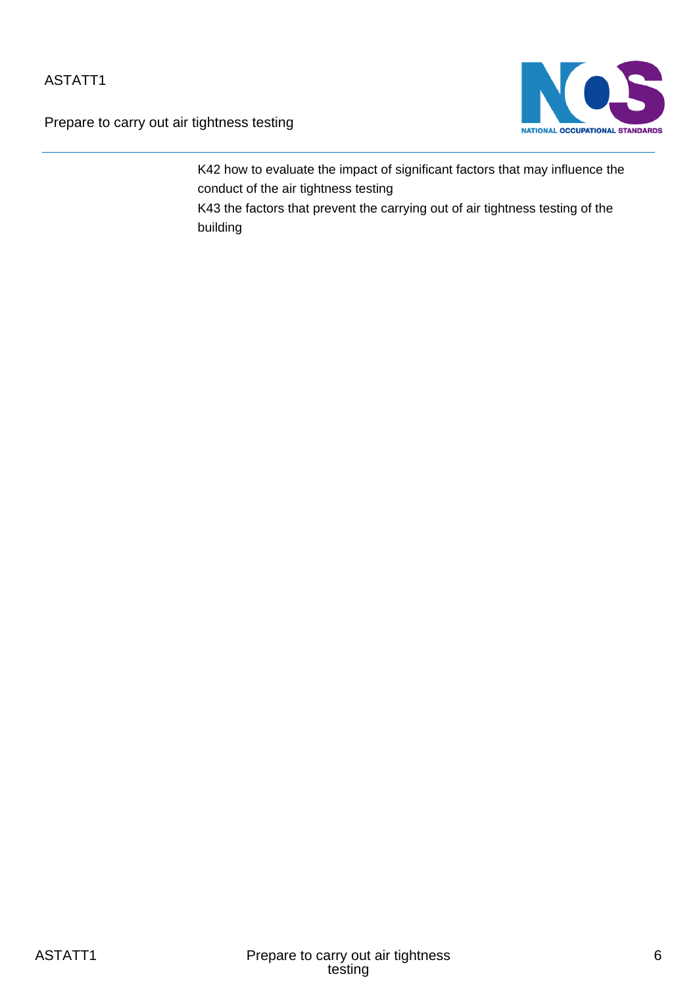Prepare to carry out air tightness testing



K42 how to evaluate the impact of significant factors that may influence the conduct of the air tightness testing K43 the factors that prevent the carrying out of air tightness testing of the

building